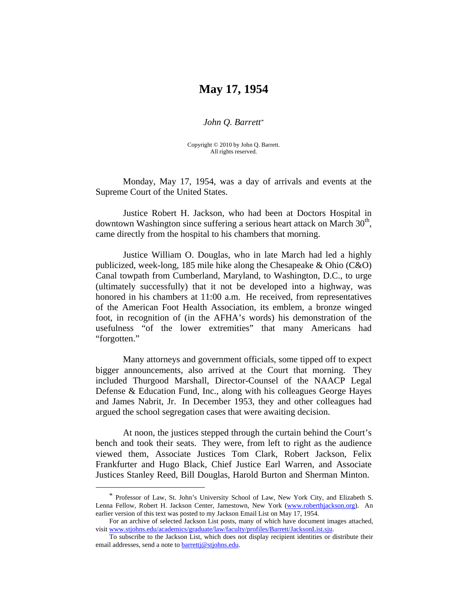## **May 17, 1954**

*John Q. Barrett*[\\*](#page-0-0)

Copyright © 2010 by John Q. Barrett. All rights reserved.

 Monday, May 17, 1954, was a day of arrivals and events at the Supreme Court of the United States.

Justice Robert H. Jackson, who had been at Doctors Hospital in downtown Washington since suffering a serious heart attack on March  $30<sup>th</sup>$ , came directly from the hospital to his chambers that morning.

Justice William O. Douglas, who in late March had led a highly publicized, week-long, 185 mile hike along the Chesapeake  $\&$  Ohio (C $\&$ O) Canal towpath from Cumberland, Maryland, to Washington, D.C., to urge (ultimately successfully) that it not be developed into a highway, was honored in his chambers at 11:00 a.m. He received, from representatives of the American Foot Health Association, its emblem, a bronze winged foot, in recognition of (in the AFHA's words) his demonstration of the usefulness "of the lower extremities" that many Americans had "forgotten."

Many attorneys and government officials, some tipped off to expect bigger announcements, also arrived at the Court that morning. They included Thurgood Marshall, Director-Counsel of the NAACP Legal Defense & Education Fund, Inc., along with his colleagues George Hayes and James Nabrit, Jr. In December 1953, they and other colleagues had argued the school segregation cases that were awaiting decision.

At noon, the justices stepped through the curtain behind the Court's bench and took their seats. They were, from left to right as the audience viewed them, Associate Justices Tom Clark, Robert Jackson, Felix Frankfurter and Hugo Black, Chief Justice Earl Warren, and Associate Justices Stanley Reed, Bill Douglas, Harold Burton and Sherman Minton.

 $\overline{a}$ 

<span id="page-0-0"></span><sup>\*</sup> Professor of Law, St. John's University School of Law, New York City, and Elizabeth S. Lenna Fellow, Robert H. Jackson Center, Jamestown, New York [\(www.roberthjackson.org\)](http://www.roberthjackson.org/). An earlier version of this text was posted to my Jackson Email List on May 17, 1954.

For an archive of selected Jackson List posts, many of which have document images attached, visit [www.stjohns.edu/academics/graduate/law/faculty/profiles/Barrett/JacksonList.sju.](http://www.stjohns.edu/academics/graduate/law/faculty/profiles/Barrett/JacksonList.sju)

To subscribe to the Jackson List, which does not display recipient identities or distribute their email addresses, send a note to [barrettj@stjohns.edu](mailto:barrettj@stjohns.edu).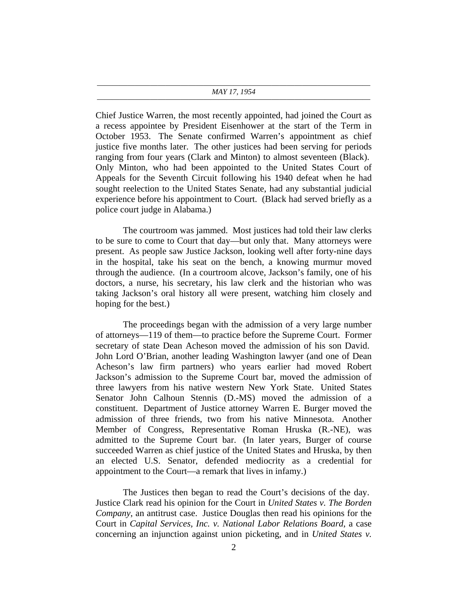## ———————————————————————————————————— *MAY 17, 1954* ————————————————————————————————————

Chief Justice Warren, the most recently appointed, had joined the Court as a recess appointee by President Eisenhower at the start of the Term in October 1953. The Senate confirmed Warren's appointment as chief justice five months later. The other justices had been serving for periods ranging from four years (Clark and Minton) to almost seventeen (Black). Only Minton, who had been appointed to the United States Court of Appeals for the Seventh Circuit following his 1940 defeat when he had sought reelection to the United States Senate, had any substantial judicial experience before his appointment to Court. (Black had served briefly as a police court judge in Alabama.)

The courtroom was jammed. Most justices had told their law clerks to be sure to come to Court that day—but only that. Many attorneys were present. As people saw Justice Jackson, looking well after forty-nine days in the hospital, take his seat on the bench, a knowing murmur moved through the audience. (In a courtroom alcove, Jackson's family, one of his doctors, a nurse, his secretary, his law clerk and the historian who was taking Jackson's oral history all were present, watching him closely and hoping for the best.)

The proceedings began with the admission of a very large number of attorneys—119 of them—to practice before the Supreme Court. Former secretary of state Dean Acheson moved the admission of his son David. John Lord O'Brian, another leading Washington lawyer (and one of Dean Acheson's law firm partners) who years earlier had moved Robert Jackson's admission to the Supreme Court bar, moved the admission of three lawyers from his native western New York State. United States Senator John Calhoun Stennis (D.-MS) moved the admission of a constituent. Department of Justice attorney Warren E. Burger moved the admission of three friends, two from his native Minnesota. Another Member of Congress, Representative Roman Hruska (R.-NE), was admitted to the Supreme Court bar. (In later years, Burger of course succeeded Warren as chief justice of the United States and Hruska, by then an elected U.S. Senator, defended mediocrity as a credential for appointment to the Court—a remark that lives in infamy.)

The Justices then began to read the Court's decisions of the day. Justice Clark read his opinion for the Court in *United States v. The Borden Company*, an antitrust case. Justice Douglas then read his opinions for the Court in *Capital Services, Inc. v. National Labor Relations Board*, a case concerning an injunction against union picketing, and in *United States v.*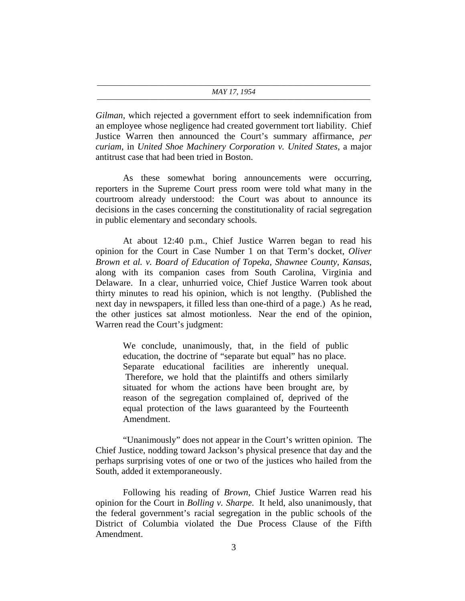## ———————————————————————————————————— *MAY 17, 1954* ————————————————————————————————————

*Gilman*, which rejected a government effort to seek indemnification from an employee whose negligence had created government tort liability. Chief Justice Warren then announced the Court's summary affirmance, *per curiam*, in *United Shoe Machinery Corporation v. United States*, a major antitrust case that had been tried in Boston.

As these somewhat boring announcements were occurring, reporters in the Supreme Court press room were told what many in the courtroom already understood: the Court was about to announce its decisions in the cases concerning the constitutionality of racial segregation in public elementary and secondary schools.

At about 12:40 p.m., Chief Justice Warren began to read his opinion for the Court in Case Number 1 on that Term's docket, *Oliver Brown et al. v. Board of Education of Topeka, Shawnee County, Kansas*, along with its companion cases from South Carolina, Virginia and Delaware. In a clear, unhurried voice, Chief Justice Warren took about thirty minutes to read his opinion, which is not lengthy. (Published the next day in newspapers, it filled less than one-third of a page.) As he read, the other justices sat almost motionless. Near the end of the opinion, Warren read the Court's judgment:

We conclude, unanimously, that, in the field of public education, the doctrine of "separate but equal" has no place. Separate educational facilities are inherently unequal. Therefore, we hold that the plaintiffs and others similarly situated for whom the actions have been brought are, by reason of the segregation complained of, deprived of the equal protection of the laws guaranteed by the Fourteenth Amendment.

"Unanimously" does not appear in the Court's written opinion. The Chief Justice, nodding toward Jackson's physical presence that day and the perhaps surprising votes of one or two of the justices who hailed from the South, added it extemporaneously.

Following his reading of *Brown*, Chief Justice Warren read his opinion for the Court in *Bolling v. Sharpe*. It held, also unanimously, that the federal government's racial segregation in the public schools of the District of Columbia violated the Due Process Clause of the Fifth Amendment.